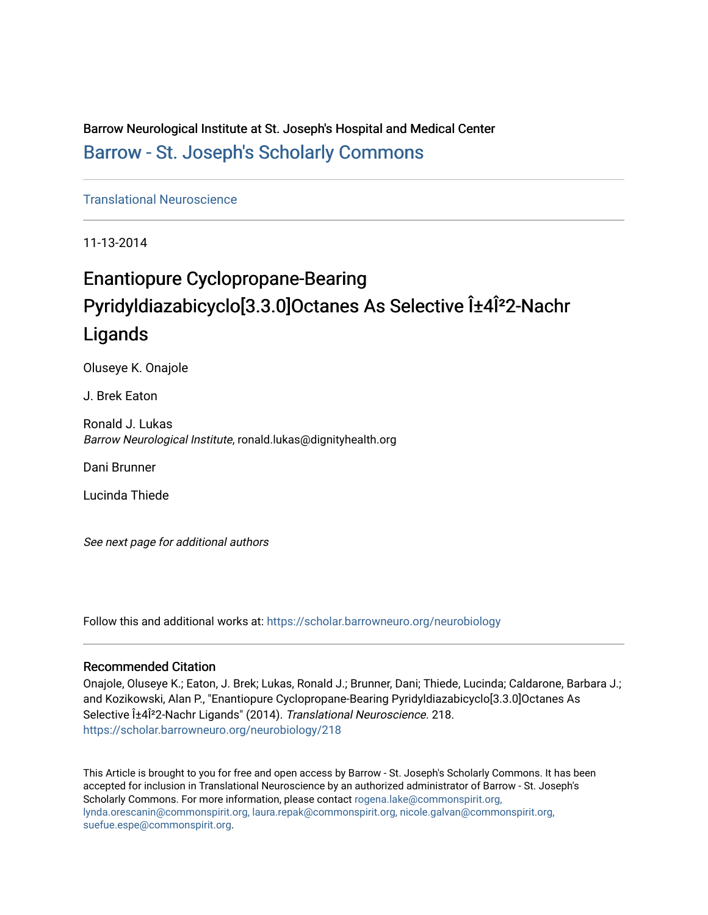Barrow Neurological Institute at St. Joseph's Hospital and Medical Center [Barrow - St. Joseph's Scholarly Commons](https://scholar.barrowneuro.org/) 

[Translational Neuroscience](https://scholar.barrowneuro.org/neurobiology)

11-13-2014

## Enantiopure Cyclopropane-Bearing Pyridyldiazabicyclo[3.3.0]Octanes As Selective α4Î<sup>2</sup>2-Nachr Ligands

Oluseye K. Onajole

J. Brek Eaton

Ronald J. Lukas Barrow Neurological Institute, ronald.lukas@dignityhealth.org

Dani Brunner

Lucinda Thiede

See next page for additional authors

Follow this and additional works at: [https://scholar.barrowneuro.org/neurobiology](https://scholar.barrowneuro.org/neurobiology?utm_source=scholar.barrowneuro.org%2Fneurobiology%2F218&utm_medium=PDF&utm_campaign=PDFCoverPages)

#### Recommended Citation

Onajole, Oluseye K.; Eaton, J. Brek; Lukas, Ronald J.; Brunner, Dani; Thiede, Lucinda; Caldarone, Barbara J.; and Kozikowski, Alan P., "Enantiopure Cyclopropane-Bearing Pyridyldiazabicyclo[3.3.0]Octanes As Selective α4Î<sup>2</sup>2-Nachr Ligands" (2014). Translational Neuroscience. 218. [https://scholar.barrowneuro.org/neurobiology/218](https://scholar.barrowneuro.org/neurobiology/218?utm_source=scholar.barrowneuro.org%2Fneurobiology%2F218&utm_medium=PDF&utm_campaign=PDFCoverPages)

This Article is brought to you for free and open access by Barrow - St. Joseph's Scholarly Commons. It has been accepted for inclusion in Translational Neuroscience by an authorized administrator of Barrow - St. Joseph's Scholarly Commons. For more information, please contact [rogena.lake@commonspirit.org,](mailto:rogena.lake@commonspirit.org,%20lynda.orescanin@commonspirit.org,%20laura.repak@commonspirit.org,%20nicole.galvan@commonspirit.org,%20suefue.espe@commonspirit.org) [lynda.orescanin@commonspirit.org, laura.repak@commonspirit.org, nicole.galvan@commonspirit.org,](mailto:rogena.lake@commonspirit.org,%20lynda.orescanin@commonspirit.org,%20laura.repak@commonspirit.org,%20nicole.galvan@commonspirit.org,%20suefue.espe@commonspirit.org)  [suefue.espe@commonspirit.org](mailto:rogena.lake@commonspirit.org,%20lynda.orescanin@commonspirit.org,%20laura.repak@commonspirit.org,%20nicole.galvan@commonspirit.org,%20suefue.espe@commonspirit.org).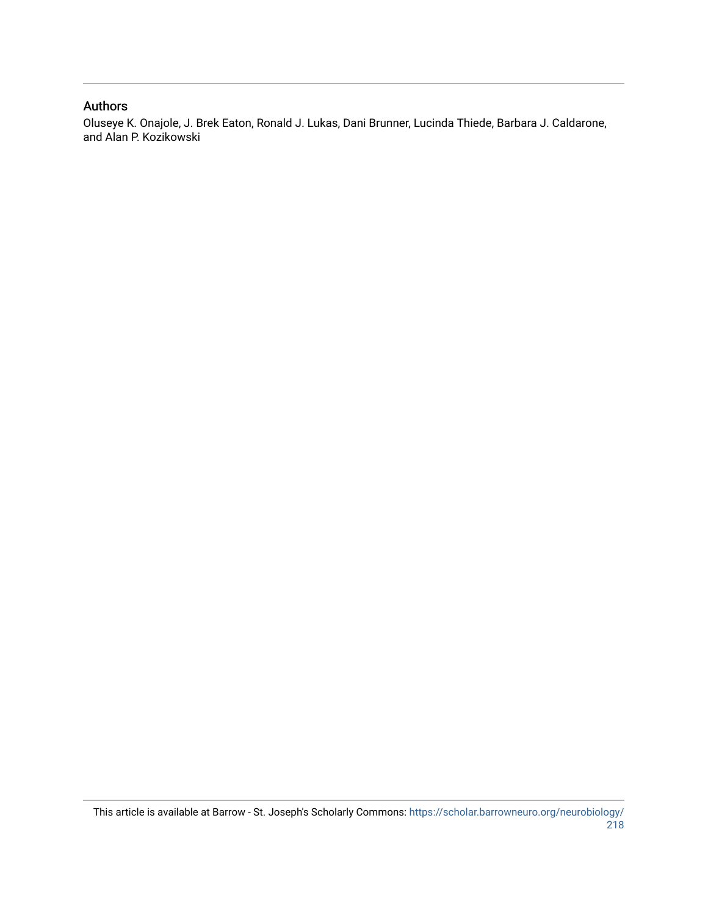#### Authors

Oluseye K. Onajole, J. Brek Eaton, Ronald J. Lukas, Dani Brunner, Lucinda Thiede, Barbara J. Caldarone, and Alan P. Kozikowski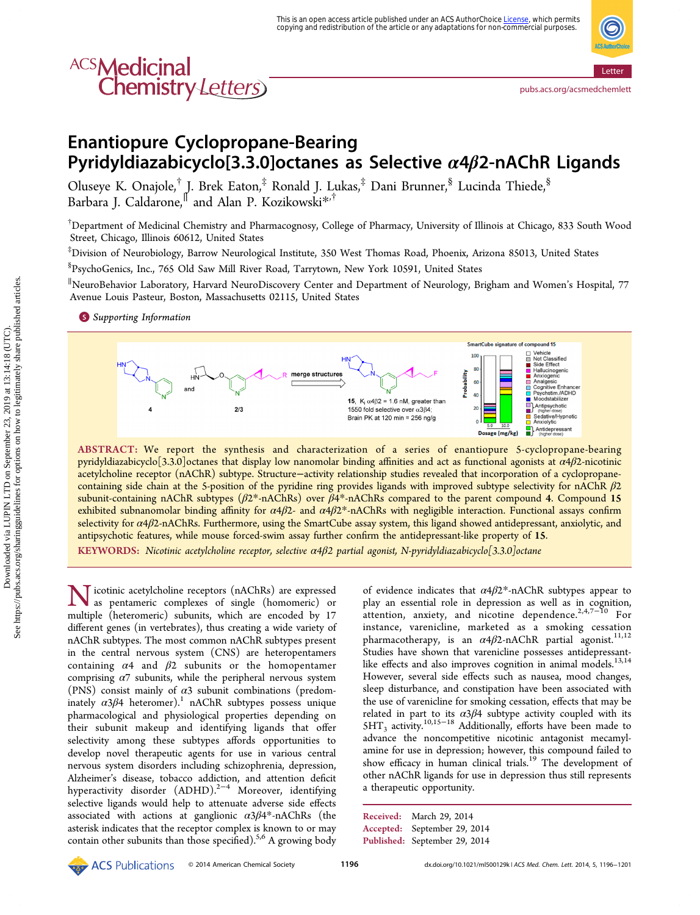# ACS**Medicinal**<br>Chemistry Letters

<pubs.acs.org/acsmedchemlett>

### Enantiopure Cyclopropane-Bearing Pyridyldiazabicyclo[3.3.0]octanes as Selective  $\alpha$ 4 $\beta$ 2-nAChR Ligands

Oluseye K. Onajole,† J. Brek Eaton,‡ Ronald J. Lukas,‡ Dani Brunner,§ Lucinda Thiede,§ Barbara J. Caldarone,<sup>∥</sup> and Alan P. Kozikowski[\\*](#page-6-0),†

† Department of Medicinal Chemistry and Pharmacognosy, College of Pharmacy, University of Illinois at Chicago, 833 South Wood Street, Chicago, Illinois 60612, United States

‡ Division of Neurobiology, Barrow Neurological Institute, 350 West Thomas Road, Phoenix, Arizona 85013, United States

§ PsychoGenics, Inc., 765 Old Saw Mill River Road, Tarrytown, New York 10591, United States

∥ NeuroBehavior Laboratory, Harvard NeuroDiscovery Center and Department of Neurology, Brigham and Women's Hospital, 77 Avenue Louis Pasteur, Boston, Massachusetts 02115, United States

**S** [Supporting Information](#page-6-0)



ABSTRACT: We report the synthesis and characterization of a series of enantiopure 5-cyclopropane-bearing pyridyldiazabicyclo<sup>[3.3.0</sup>]octanes that display low nanomolar binding affinities and act as functional agonists at  $\alpha$ 4 $\beta$ 2-nicotinic acetylcholine receptor (nAChR) subtype. Structure−activity relationship studies revealed that incorporation of a cyclopropanecontaining side chain at the 5-position of the pyridine ring provides ligands with improved subtype selectivity for nAChR  $\beta$ 2 subunit-containing nAChR subtypes (β2\*-nAChRs) over β4\*-nAChRs compared to the parent compound 4. Compound 15 exhibited subnanomolar binding affinity for  $\alpha$ 4 $\beta$ 2- and  $\alpha$ 4 $\beta$ 2\*-nAChRs with negligible interaction. Functional assays confirm selectivity for  $\alpha$ 4 $\beta$ 2-nAChRs. Furthermore, using the SmartCube assay system, this ligand showed antidepressant, anxiolytic, and antipsychotic features, while mouse forced-swim assay further confirm the antidepressant-like property of 15.

KEYWORDS: Nicotinic acetylcholine receptor, selective α4β2 partial agonist, N-pyridyldiazabicyclo[3.3.0]octane

Nicotinic acetylcholine receptors (nAChRs) are expressed<br>as pentameric complexes of as pentameric complexes of single (homomeric) or multiple (heteromeric) subunits, which are encoded by 17 different genes (in vertebrates), thus creating a wide variety of nAChR subtypes. The most common nAChR subtypes present in the central nervous system (CNS) are heteropentamers containing  $\alpha$ 4 and  $\beta$ 2 subunits or the homopentamer comprising  $\alpha$ 7 subunits, while the peripheral nervous system (PNS) consist mainly of  $\alpha$ 3 subunit combinations (predominately  $\alpha 3\beta 4$  heteromer).<sup>[1](#page-6-0)</sup> nAChR subtypes possess unique pharmacological and physiological properties depending on their subunit makeup and identifying ligands that offer selectivity among these subtypes affords opportunities to develop novel therapeutic agents for use in various central nervous system disorders including schizophrenia, depression, Alzheimer's disease, tobacco addiction, and attention deficit hyperactivity disorder (ADHD).<sup>[2](#page-6-0)−[4](#page-6-0)</sup> Moreover, identifying selective ligands would help to attenuate adverse side effects associated with actions at ganglionic  $\alpha 3\beta 4^*$ -nAChRs (the asterisk indicates that the receptor complex is known to or may contain other subunits than those specified).<sup>[5](#page-6-0),[6](#page-6-0)</sup> A growing body

of evidence indicates that  $\alpha$ 4 $\beta$ 2\*-nAChR subtypes appear to play an essential role in depression as well as in cognition, attention, anxiety, and nicotine dependence.<sup>[2](#page-6-0),[4,7](#page-6-0)-[10](#page-6-0)</sup> For instance, varenicline, marketed as a smoking cessation pharmacotherapy, is an  $\alpha$ 4 $\beta$ 2-nAChR partial agonist.<sup>[11,12](#page-6-0)</sup> Studies have shown that varenicline possesses antidepressant-like effects and also improves cognition in animal models.<sup>[13,14](#page-6-0)</sup> However, several side effects such as nausea, mood changes, sleep disturbance, and constipation have been associated with the use of varenicline for smoking cessation, effects that may be related in part to its  $\alpha 3\beta 4$  subtype activity coupled with its 5HT<sub>3</sub> activity.<sup>[10,15](#page-6-0)-[18](#page-6-0)</sup> Additionally, efforts have been made to advance the noncompetitive nicotinic antagonist mecamylamine for use in depression; however, this compound failed to show efficacy in human clinical trials.<sup>[19](#page-7-0)</sup> The development of other nAChR ligands for use in depression thus still represents a therapeutic opportunity.

```
Received: March 29, 2014
Accepted: September 29, 2014
Published: September 29, 2014
```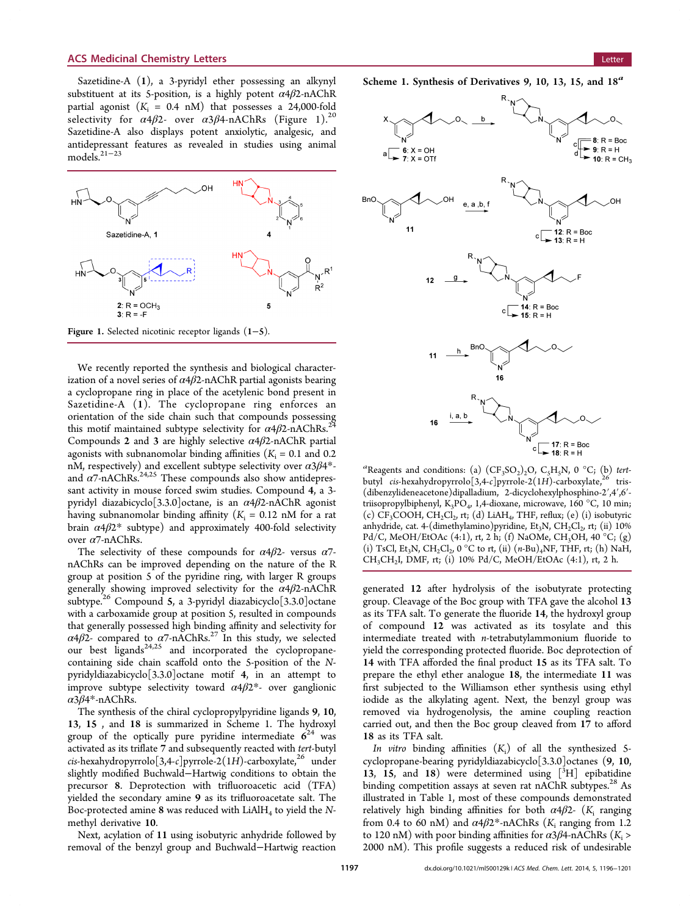Sazetidine-A (1), a 3-pyridyl ether possessing an alkynyl substituent at its 5-position, is a highly potent  $\alpha$ 4 $\beta$ 2-nAChR partial agonist  $(K<sub>i</sub> = 0.4 \text{ nM})$  that possesses a 24,000-fold selectivity for  $\alpha$ 4 $\beta$ 2- over  $\alpha$ 3 $\beta$ 4-nAChRs (Figure 1).<sup>[20](#page-7-0)</sup> Sazetidine-A also displays potent anxiolytic, analgesic, and antidepressant features as revealed in studies using animal models.[21](#page-7-0)−[23](#page-7-0)



Figure 1. Selected nicotinic receptor ligands (1−5).

We recently reported the synthesis and biological characterization of a novel series of  $\alpha$ 4 $\beta$ 2-nAChR partial agonists bearing a cyclopropane ring in place of the acetylenic bond present in Sazetidine-A (1). The cyclopropane ring enforces an orientation of the side chain such that compounds possessing this motif maintained subtype selectivity for  $\alpha$ 4 $\beta$ 2-nAChRs.<sup>[24](#page-7-0)</sup> Compounds 2 and 3 are highly selective  $\alpha$ 4 $\beta$ 2-nAChR partial agonists with subnanomolar binding affinities ( $K_i = 0.1$  and 0.2 nM, respectively) and excellent subtype selectivity over  $\alpha 3\beta 4^*$ and  $\alpha$ 7-nAChRs.<sup>[24,25](#page-7-0)</sup> These compounds also show antidepressant activity in mouse forced swim studies. Compound 4, a 3 pyridyl diazabicyclo<sup>[3.3.0]</sup>octane, is an  $\alpha$ 4 $\beta$ 2-nAChR agonist having subnanomolar binding affinity  $(K<sub>i</sub> = 0.12$  nM for a rat brain  $\alpha$ 4β2\* subtype) and approximately 400-fold selectivity over α7-nAChRs.

The selectivity of these compounds for  $\alpha$ 4 $\beta$ 2- versus  $\alpha$ 7nAChRs can be improved depending on the nature of the R group at position 5 of the pyridine ring, with larger R groups generally showing improved selectivity for the  $\alpha$ 4 $\beta$ 2-nAChR subtype.<sup>[26](#page-7-0)</sup> Compound 5, a 3-pyridyl diazabicyclo<sup>[3.3.0]</sup>octane with a carboxamide group at position 5, resulted in compounds that generally possessed high binding affinity and selectivity for  $\alpha$ 4 $\beta$ 2- compared to  $\alpha$ 7-nAChRs.<sup>[27](#page-7-0)</sup> In this study, we selected our best ligands<sup>[24](#page-7-0),[25](#page-7-0)</sup> and incorporated the cyclopropanecontaining side chain scaffold onto the 5-position of the Npyridyldiazabicyclo[3.3.0]octane motif 4, in an attempt to improve subtype selectivity toward  $\alpha$ 4 $\beta$ 2\*- over ganglionic α3β4\*-nAChRs.

The synthesis of the chiral cyclopropylpyridine ligands 9, 10, 13, 15 , and 18 is summarized in Scheme 1. The hydroxyl group of the optically pure pyridine intermediate  $6^{24}$  $6^{24}$  $6^{24}$  was activated as its triflate 7 and subsequently reacted with tert-butyl  $cis$ -hexahydropyrrolo $[3,4-c]$ pyrrole-2(1H)-carboxylate,<sup>[26](#page-7-0)</sup> under slightly modified Buchwald−Hartwig conditions to obtain the precursor 8. Deprotection with trifluoroacetic acid (TFA) yielded the secondary amine 9 as its trifluoroacetate salt. The Boc-protected amine 8 was reduced with  $LiAlH<sub>4</sub>$  to yield the Nmethyl derivative 10.

Next, acylation of 11 using isobutyric anhydride followed by removal of the benzyl group and Buchwald−Hartwig reaction



<sup>a</sup>Reagents and conditions: (a)  $(CF_3SO_2)_2O$ ,  $C_5H_5N$ , 0 °C; (b) tertbutyl cis-hexahydropyrrolo $[3,4-c]$ pyrrole-2(1H)-carboxylate,<sup>[26](#page-7-0)</sup> tris-(dibenzylideneacetone)dipalladium, 2-dicyclohexylphosphino-2′,4′,6′ triisopropylbiphenyl, K<sub>3</sub>PO<sub>4</sub>, 1,4-dioxane, microwave, 160 °C, 10 min; (c)  $CF_3COOH$ ,  $CH_2Cl_2$ , rt; (d) LiAH<sub>4</sub>, THF, reflux; (e) (i) isobutyric anhydride, cat. 4-(dimethylamino)pyridine,  $Et_3N$ ,  $CH_2Cl_2$ , rt; (ii) 10% Pd/C, MeOH/EtOAc (4:1), rt, 2 h; (f) NaOMe, CH<sub>3</sub>OH, 40 °C; (g) (i) TsCl, Et<sub>3</sub>N, CH<sub>2</sub>Cl<sub>2</sub>, 0 °C to rt, (ii)  $(n-Bu)_{4}NF$ , THF, rt; (h) NaH, CH<sub>3</sub>CH<sub>2</sub>I, DMF, rt; (i) 10% Pd/C, MeOH/EtOAc (4:1), rt, 2 h.

generated 12 after hydrolysis of the isobutyrate protecting group. Cleavage of the Boc group with TFA gave the alcohol 13 as its TFA salt. To generate the fluoride 14, the hydroxyl group of compound 12 was activated as its tosylate and this intermediate treated with n-tetrabutylammonium fluoride to yield the corresponding protected fluoride. Boc deprotection of 14 with TFA afforded the final product 15 as its TFA salt. To prepare the ethyl ether analogue 18, the intermediate 11 was first subjected to the Williamson ether synthesis using ethyl iodide as the alkylating agent. Next, the benzyl group was removed via hydrogenolysis, the amine coupling reaction carried out, and then the Boc group cleaved from 17 to afford 18 as its TFA salt.

In vitro binding affinities  $(K_i)$  of all the synthesized 5cyclopropane-bearing pyridyldiazabicyclo[3.3.0]octanes (9, 10, 13, 15, and 18) were determined using [3H] epibatidine binding competition assays at seven rat nAChR subtypes.<sup>[28](#page-7-0)</sup> As illustrated in Table [1,](#page-4-0) most of these compounds demonstrated relatively high binding affinities for both  $\alpha$ 4 $\beta$ 2- (K<sub>i</sub> ranging from 0.4 to 60 nM) and  $\alpha$ 4 $\beta$ 2<sup>\*</sup>-nAChRs (K<sub>i</sub> ranging from 1.2 to 120 nM) with poor binding affinities for  $\alpha$ 3 $\beta$ 4-nAChRs (K<sub>i</sub> > 2000 nM). This profile suggests a reduced risk of undesirable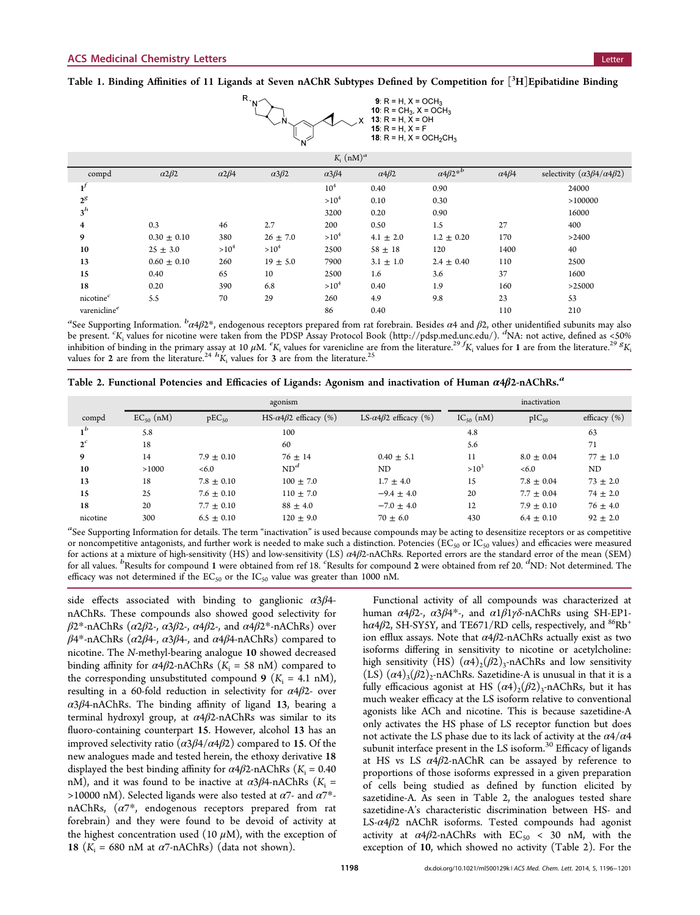<span id="page-4-0"></span>Table 1. Binding Affinities of 11 Ligands at Seven nAChR Subtypes Defined by Competition for  $[^3H]$ Epibatidine Binding



| $K_i$ (nM) <sup>a</sup>  |                      |                      |                   |                      |                      |                                   |                      |                                                 |
|--------------------------|----------------------|----------------------|-------------------|----------------------|----------------------|-----------------------------------|----------------------|-------------------------------------------------|
| compd                    | $\alpha$ 2 $\beta$ 2 | $\alpha$ 2 $\beta$ 4 | $\alpha 3\beta 2$ | $\alpha$ 3 $\beta$ 4 | $\alpha$ 4 $\beta$ 2 | $\alpha$ 4 $\beta$ 2 <sup>*</sup> | $\alpha$ 4 $\beta$ 4 | selectivity $(\alpha 3\beta 4/\alpha 4\beta 2)$ |
| ${\bf l}^f$              |                      |                      |                   | 10 <sup>4</sup>      | 0.40                 | 0.90                              |                      | 24000                                           |
| $2^g$                    |                      |                      |                   | $>10^4$              | 0.10                 | 0.30                              |                      | >100000                                         |
| $3^h$                    |                      |                      |                   | 3200                 | 0.20                 | 0.90                              |                      | 16000                                           |
| 4                        | 0.3                  | 46                   | 2.7               | 200                  | 0.50                 | 1.5                               | 27                   | 400                                             |
| 9                        | $0.30 \pm 0.10$      | 380                  | $26 \pm 7.0$      | $>10^4$              | $4.1 \pm 2.0$        | $1.2 \pm 0.20$                    | 170                  | >2400                                           |
| 10                       | $25 \pm 3.0$         | $>10^4$              | $>10^4$           | 2500                 | $58 \pm 18$          | 120                               | 1400                 | 40                                              |
| 13                       | $0.60 \pm 0.10$      | 260                  | $19 \pm 5.0$      | 7900                 | $3.1 \pm 1.0$        | $2.4 \pm 0.40$                    | 110                  | 2500                                            |
| 15                       | 0.40                 | 65                   | 10                | 2500                 | 1.6                  | 3.6                               | 37                   | 1600                                            |
| 18                       | 0.20                 | 390                  | 6.8               | $>10^4$              | 0.40                 | 1.9                               | 160                  | >25000                                          |
| nicotine <sup>c</sup>    | 5.5                  | 70                   | 29                | 260                  | 4.9                  | 9.8                               | 23                   | 53                                              |
| varenicline <sup>e</sup> |                      |                      |                   | 86                   | 0.40                 |                                   | 110                  | 210                                             |

<sup>a</sup>See [Supporting Information](#page-6-0).  ${}^b\alpha$ 4β2\*, endogenous receptors prepared from rat forebrain. Besides  $\alpha$ 4 and β2, other unidentified subunits may also be present.  $K_i$  values for nicotine were taken from the PDSP Assay Protocol Book [\(http://pdsp.med.unc.edu/](http://pdsp.med.unc.edu/)). <sup>d</sup>NA: not active, defined as <50% inhibition of binding in the primary assay at 10  $\mu$ M.  ${}^eK_i$  values for varenicline are from the literature.<sup>[29](#page-7-0) f</sup>K<sub>i</sub> values for 1 are from the literature.<sup>29 g</sup>K<sub>i</sub> values for 2 are from the literature.<sup>29 g</sup>K<sub>i</sub> val

Table 2. Functional Potencies and Efficacies of Ligands: Agonism and inactivation of Human  $\alpha$ 4 $\beta$ 2-nAChRs.<sup>a</sup>

|          | agonism        |                |                                       |                                       | inactivation   |                |                 |
|----------|----------------|----------------|---------------------------------------|---------------------------------------|----------------|----------------|-----------------|
| compd    | $EC_{50}$ (nM) | $pEC_{50}$     | HS- $\alpha$ 4 $\beta$ 2 efficacy (%) | LS- $\alpha$ 4 $\beta$ 2 efficacy (%) | $IC_{50}$ (nM) | $pIC_{50}$     | efficacy $(\%)$ |
| $1^b$    | 5.8            |                | 100                                   |                                       | 4.8            |                | 63              |
| $2^c$    | 18             |                | 60                                    |                                       | 5.6            |                | 71              |
| 9        | 14             | $7.9 + 0.10$   | $76 \pm 14$                           | $0.40 \pm 5.1$                        | 11             | $8.0 \pm 0.04$ | $77 \pm 1.0$    |
| 10       | >1000          | < 6.0          | ND <sup>d</sup>                       | ND                                    | $>10^3$        | < 6.0          | ND              |
| 13       | 18             | $7.8 \pm 0.10$ | $100 \pm 7.0$                         | $1.7 \pm 4.0$                         | 15             | $7.8 \pm 0.04$ | $73 \pm 2.0$    |
| 15       | 25             | $7.6 \pm 0.10$ | $110 \pm 7.0$                         | $-9.4 \pm 4.0$                        | 20             | $7.7 \pm 0.04$ | $74 \pm 2.0$    |
| 18       | 20             | $7.7 \pm 0.10$ | $88 \pm 4.0$                          | $-7.0 \pm 4.0$                        | 12             | $7.9 \pm 0.10$ | $76 \pm 4.0$    |
| nicotine | 300            | $6.5 + 0.10$   | $120 \pm 9.0$                         | $70 + 6.0$                            | 430            | $6.4 \pm 0.10$ | $92 \pm 2.0$    |

 $a$ See [Supporting Information](#page-6-0) for details. The term "inactivation" is used because compounds may be acting to desensitize receptors or as competitive or noncompetitive antagonists, and further work is needed to make such a distinction. Potencies ( $EC_{50}$  or  $IC_{50}$  values) and efficacies were measured for actions at a mixture of high-sensitivity (HS) and low-sensitivity (LS)  $\alpha$ 4 $\beta$ 2-nAChRs. Reported errors are the standard error of the mean (SEM) For all values. *b* Results for compound 1 were obtained from ref [18.](#page-6-0) 'Results for compound 2 were obtained from ref [20.](#page-7-0) <sup>*d*</sup>ND: Not determined. The efficacy was not determined if the  $EC_{50}$  or the  $IC_{50}$  value was greater than 1000 nM.

side effects associated with binding to ganglionic  $\alpha 3\beta 4$ nAChRs. These compounds also showed good selectivity for  $\beta$ 2\*-nAChRs ( $\alpha$ 2 $\beta$ 2-,  $\alpha$ 3 $\beta$ 2-,  $\alpha$ 4 $\beta$ 2-, and  $\alpha$ 4 $\beta$ 2\*-nAChRs) over  $β4*-nAChRs (α2β4-, α3β4-, and α4β4-nAChRs) compared to$ nicotine. The N-methyl-bearing analogue 10 showed decreased binding affinity for  $\alpha$ 4 $\beta$ 2-nAChRs ( $K_i$  = 58 nM) compared to the corresponding unsubstituted compound 9 ( $K_i = 4.1 \text{ nM}$ ), resulting in a 60-fold reduction in selectivity for  $\alpha$ 4 $\beta$ 2- over  $\alpha$ 3 $\beta$ 4-nAChRs. The binding affinity of ligand 13, bearing a terminal hydroxyl group, at  $\alpha$ 4 $\beta$ 2-nAChRs was similar to its fluoro-containing counterpart 15. However, alcohol 13 has an improved selectivity ratio  $(α3β4/α4β2)$  compared to 15. Of the new analogues made and tested herein, the ethoxy derivative 18 displayed the best binding affinity for  $\alpha$ 4 $\beta$ 2-nAChRs (K<sub>i</sub> = 0.40 nM), and it was found to be inactive at  $\alpha$ 3 $\beta$ 4-nAChRs ( $K_i$  = >10000 nM). Selected ligands were also tested at  $\alpha$ 7- and  $\alpha$ 7<sup>\*</sup>nAChRs,  $(\alpha 7^*)$ , endogenous receptors prepared from rat forebrain) and they were found to be devoid of activity at the highest concentration used (10  $\mu$ M), with the exception of 18 ( $K_i$  = 680 nM at  $\alpha$ 7-nAChRs) (data not shown).

Functional activity of all compounds was characterized at human  $\alpha$ 4β2-,  $\alpha$ 3β4<sup>\*</sup>-, and  $\alpha$ 1β1γδ-nAChRs using SH-EP1h $\alpha$ 4 $\beta$ 2, SH-SY5Y, and TE671/RD cells, respectively, and  ${}^{86}$ Rb<sup>+</sup> ion efflux assays. Note that  $\alpha$ 4 $\beta$ 2-nAChRs actually exist as two isoforms differing in sensitivity to nicotine or acetylcholine: high sensitivity (HS)  $(\alpha 4)_{2}(\beta 2)_{3}$ -nAChRs and low sensitivity  $(LS)$   $(\alpha 4)$ <sub>3</sub> $(\beta 2)$ <sub>2</sub>-nAChRs. Sazetidine-A is unusual in that it is a fully efficacious agonist at HS  $(\alpha 4)_{2}(\beta 2)_{3}$ -nAChRs, but it has much weaker efficacy at the LS isoform relative to conventional agonists like ACh and nicotine. This is because sazetidine-A only activates the HS phase of LS receptor function but does not activate the LS phase due to its lack of activity at the  $\alpha$ 4/ $\alpha$ 4 subunit interface present in the LS isoform.<sup>[30](#page-7-0)</sup> Efficacy of ligands at HS vs LS  $\alpha$ 4 $\beta$ 2-nAChR can be assayed by reference to proportions of those isoforms expressed in a given preparation of cells being studied as defined by function elicited by sazetidine-A. As seen in Table 2, the analogues tested share sazetidine-A's characteristic discrimination between HS- and LS- $\alpha$ 4 $\beta$ 2 nAChR isoforms. Tested compounds had agonist activity at  $\alpha$ 4 $\beta$ 2-nAChRs with EC<sub>50</sub> < 30 nM, with the exception of 10, which showed no activity (Table 2). For the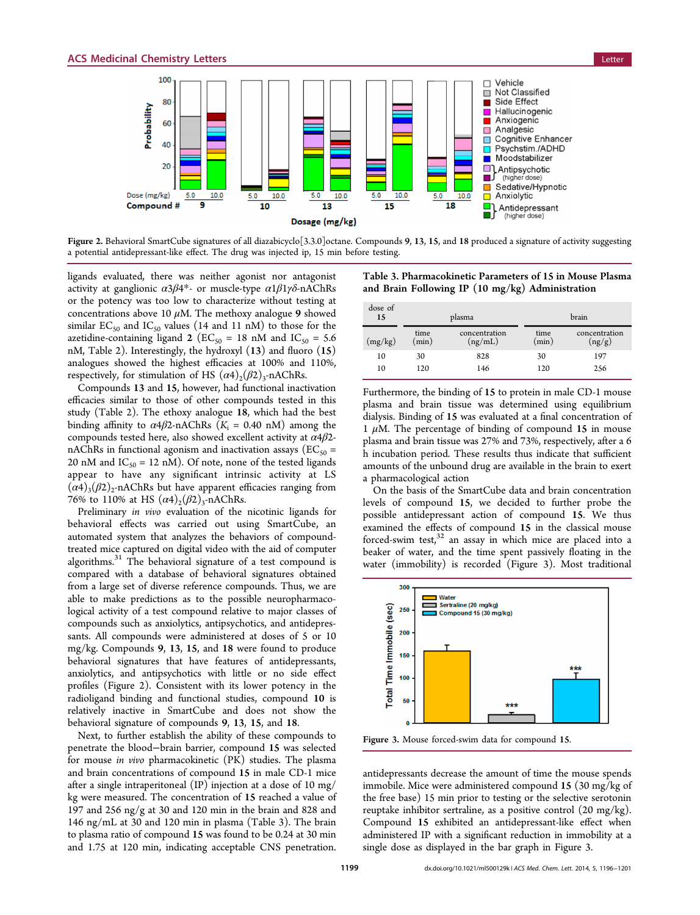

Figure 2. Behavioral SmartCube signatures of all diazabicyclo<sup>[3,3,0]</sup>octane. Compounds 9, 13, 15, and 18 produced a signature of activity suggesting a potential antidepressant-like effect. The drug was injected ip, 15 min before testing.

ligands evaluated, there was neither agonist nor antagonist activity at ganglionic  $\alpha 3\beta 4^*$ - or muscle-type  $\alpha 1\beta 1\gamma\delta$ -nAChRs or the potency was too low to characterize without testing at concentrations above 10  $\mu$ M. The methoxy analogue 9 showed similar  $EC_{50}$  and  $IC_{50}$  values (14 and 11 nM) to those for the azetidine-containing ligand 2 ( $EC_{50} = 18$  nM and  $IC_{50} = 5.6$ nM, Table [2](#page-4-0)). Interestingly, the hydroxyl (13) and fluoro (15) analogues showed the highest efficacies at 100% and 110%, respectively, for stimulation of HS  $(\alpha 4)_{2}(\beta 2)_{3}$ -nAChRs.

Compounds 13 and 15, however, had functional inactivation efficacies similar to those of other compounds tested in this study (Table [2\)](#page-4-0). The ethoxy analogue 18, which had the best binding affinity to  $\alpha$ 4 $\beta$ 2-nAChRs (K<sub>i</sub> = 0.40 nM) among the compounds tested here, also showed excellent activity at  $\alpha$ 4 $\beta$ 2nAChRs in functional agonism and inactivation assays ( $EC_{50}$  = 20 nM and  $IC_{50} = 12$  nM). Of note, none of the tested ligands appear to have any significant intrinsic activity at LS  $(\alpha 4)$ <sub>3</sub>( $\beta$ 2)<sub>2</sub>-nAChRs but have apparent efficacies ranging from 76% to 110% at HS  $(\alpha 4)_{2}(\beta 2)_{3}$ -nAChRs.

Preliminary in vivo evaluation of the nicotinic ligands for behavioral effects was carried out using SmartCube, an automated system that analyzes the behaviors of compoundtreated mice captured on digital video with the aid of computer algorithms.[31](#page-7-0) The behavioral signature of a test compound is compared with a database of behavioral signatures obtained from a large set of diverse reference compounds. Thus, we are able to make predictions as to the possible neuropharmacological activity of a test compound relative to major classes of compounds such as anxiolytics, antipsychotics, and antidepressants. All compounds were administered at doses of 5 or 10 mg/kg. Compounds 9, 13, 15, and 18 were found to produce behavioral signatures that have features of antidepressants, anxiolytics, and antipsychotics with little or no side effect profiles (Figure 2). Consistent with its lower potency in the radioligand binding and functional studies, compound 10 is relatively inactive in SmartCube and does not show the behavioral signature of compounds 9, 13, 15, and 18.

Next, to further establish the ability of these compounds to penetrate the blood−brain barrier, compound 15 was selected for mouse in vivo pharmacokinetic (PK) studies. The plasma and brain concentrations of compound 15 in male CD-1 mice after a single intraperitoneal (IP) injection at a dose of 10 mg/ kg were measured. The concentration of 15 reached a value of 197 and 256 ng/g at 30 and 120 min in the brain and 828 and 146 ng/mL at 30 and 120 min in plasma (Table 3). The brain to plasma ratio of compound 15 was found to be 0.24 at 30 min and 1.75 at 120 min, indicating acceptable CNS penetration.

Table 3. Pharmacokinetic Parameters of 15 in Mouse Plasma and Brain Following IP (10 mg/kg) Administration

| dose of<br>15 |               | plasma                   | brain         |                         |  |
|---------------|---------------|--------------------------|---------------|-------------------------|--|
| (mg/kg)       | time<br>(min) | concentration<br>(ng/mL) | time<br>(min) | concentration<br>(ng/g) |  |
| 10            | 30            | 828                      | 30            | 197                     |  |
| 10            | 120           | 146                      | 120           | 256                     |  |

Furthermore, the binding of 15 to protein in male CD-1 mouse plasma and brain tissue was determined using equilibrium dialysis. Binding of 15 was evaluated at a final concentration of 1  $\mu$ M. The percentage of binding of compound 15 in mouse plasma and brain tissue was 27% and 73%, respectively, after a 6 h incubation period. These results thus indicate that sufficient amounts of the unbound drug are available in the brain to exert a pharmacological action

On the basis of the SmartCube data and brain concentration levels of compound 15, we decided to further probe the possible antidepressant action of compound 15. We thus examined the effects of compound 15 in the classical mouse forced-swim test, $32$  an assay in which mice are placed into a beaker of water, and the time spent passively floating in the water (immobility) is recorded (Figure 3). Most traditional



Figure 3. Mouse forced-swim data for compound 15.

antidepressants decrease the amount of time the mouse spends immobile. Mice were administered compound 15 (30 mg/kg of the free base) 15 min prior to testing or the selective serotonin reuptake inhibitor sertraline, as a positive control (20 mg/kg). Compound 15 exhibited an antidepressant-like effect when administered IP with a significant reduction in immobility at a single dose as displayed in the bar graph in Figure 3.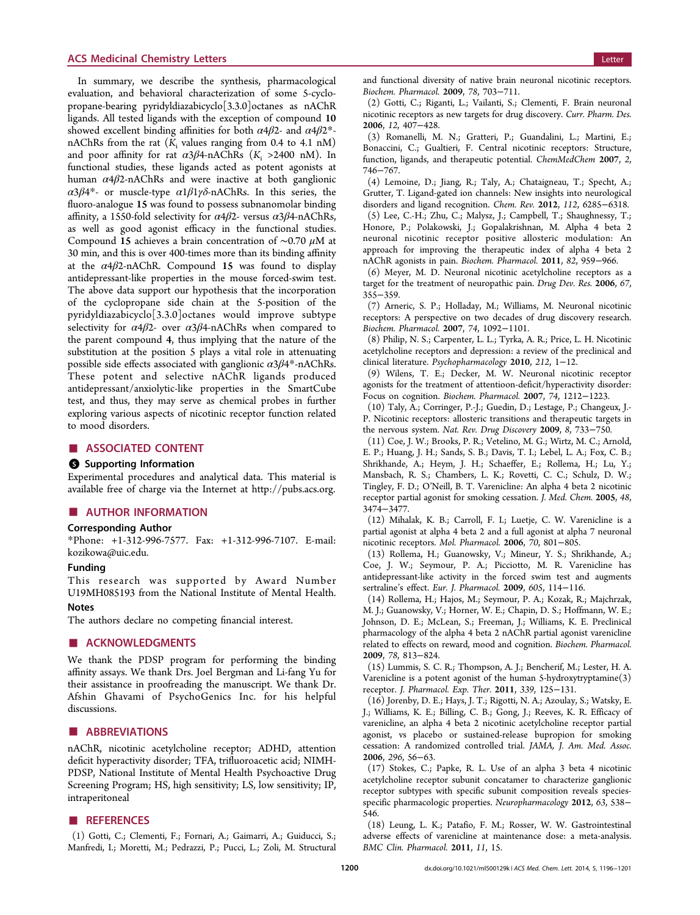#### <span id="page-6-0"></span>**ACS Medicinal Chemistry Letters Letters Letters Letters Letters Letters Letters Letters Letters Letters**

In summary, we describe the synthesis, pharmacological evaluation, and behavioral characterization of some 5-cyclopropane-bearing pyridyldiazabicyclo[3.3.0]octanes as nAChR ligands. All tested ligands with the exception of compound 10 showed excellent binding affinities for both  $\alpha$ 4 $\beta$ 2- and  $\alpha$ 4 $\beta$ 2<sup>\*</sup>nAChRs from the rat  $(K<sub>i</sub>$  values ranging from 0.4 to 4.1 nM) and poor affinity for rat  $\alpha 3\beta 4$ -nAChRs (K<sub>i</sub> >2400 nM). In functional studies, these ligands acted as potent agonists at human  $\alpha$ 4 $\beta$ 2-nAChRs and were inactive at both ganglionic α3β4\*- or muscle-type α1β1γδ-nAChRs. In this series, the fluoro-analogue 15 was found to possess subnanomolar binding affinity, a 1550-fold selectivity for  $\alpha$ 4 $\beta$ 2- versus  $\alpha$ 3 $\beta$ 4-nAChRs, as well as good agonist efficacy in the functional studies. Compound 15 achieves a brain concentration of ∼0.70 μM at 30 min, and this is over 400-times more than its binding affinity at the  $\alpha$ 4 $\beta$ 2-nAChR. Compound 15 was found to display antidepressant-like properties in the mouse forced-swim test. The above data support our hypothesis that the incorporation of the cyclopropane side chain at the 5-position of the pyridyldiazabicyclo[3.3.0]octanes would improve subtype selectivity for  $\alpha$ 4 $\beta$ 2- over  $\alpha$ 3 $\beta$ 4-nAChRs when compared to the parent compound 4, thus implying that the nature of the substitution at the position 5 plays a vital role in attenuating possible side effects associated with ganglionic  $\alpha 3\beta 4^*$ -nAChRs. These potent and selective nAChR ligands produced antidepressant/anxiolytic-like properties in the SmartCube test, and thus, they may serve as chemical probes in further exploring various aspects of nicotinic receptor function related to mood disorders.

#### ■ ASSOCIATED CONTENT

#### **6** Supporting Information

Experimental procedures and analytical data. This material is available free of charge via the Internet at [http://pubs.acs.org.](http://pubs.acs.org)

#### ■ AUTHOR INFORMATION

#### Corresponding Author

\*Phone: +1-312-996-7577. Fax: +1-312-996-7107. E-mail: [kozikowa@uic.edu.](mailto:kozikowa@uic.edu)

#### Funding

This research was supported by Award Number U19MH085193 from the National Institute of Mental Health.

#### **Notes**

The authors declare no competing financial interest.

#### ■ ACKNOWLEDGMENTS

We thank the PDSP program for performing the binding affinity assays. We thank Drs. Joel Bergman and Li-fang Yu for their assistance in proofreading the manuscript. We thank Dr. Afshin Ghavami of PsychoGenics Inc. for his helpful discussions.

#### ■ ABBREVIATIONS

nAChR, nicotinic acetylcholine receptor; ADHD, attention deficit hyperactivity disorder; TFA, trifluoroacetic acid; NIMH-PDSP, National Institute of Mental Health Psychoactive Drug Screening Program; HS, high sensitivity; LS, low sensitivity; IP, intraperitoneal

#### ■ REFERENCES

(1) Gotti, C.; Clementi, F.; Fornari, A.; Gaimarri, A.; Guiducci, S.; Manfredi, I.; Moretti, M.; Pedrazzi, P.; Pucci, L.; Zoli, M. Structural and functional diversity of native brain neuronal nicotinic receptors. Biochem. Pharmacol. 2009, 78, 703−711.

(2) Gotti, C.; Riganti, L.; Vailanti, S.; Clementi, F. Brain neuronal nicotinic receptors as new targets for drug discovery. Curr. Pharm. Des. 2006, 12, 407−428.

(3) Romanelli, M. N.; Gratteri, P.; Guandalini, L.; Martini, E.; Bonaccini, C.; Gualtieri, F. Central nicotinic receptors: Structure, function, ligands, and therapeutic potential. ChemMedChem 2007, 2, 746−767.

(4) Lemoine, D.; Jiang, R.; Taly, A.; Chataigneau, T.; Specht, A.; Grutter, T. Ligand-gated ion channels: New insights into neurological disorders and ligand recognition. Chem. Rev. 2012, 112, 6285−6318.

(5) Lee, C.-H.; Zhu, C.; Malysz, J.; Campbell, T.; Shaughnessy, T.; Honore, P.; Polakowski, J.; Gopalakrishnan, M. Alpha 4 beta 2 neuronal nicotinic receptor positive allosteric modulation: An approach for improving the therapeutic index of alpha 4 beta 2 nAChR agonists in pain. Biochem. Pharmacol. 2011, 82, 959−966.

(6) Meyer, M. D. Neuronal nicotinic acetylcholine receptors as a target for the treatment of neuropathic pain. Drug Dev. Res. 2006, 67, 355−359.

(7) Arneric, S. P.; Holladay, M.; Williams, M. Neuronal nicotinic receptors: A perspective on two decades of drug discovery research. Biochem. Pharmacol. 2007, 74, 1092−1101.

(8) Philip, N. S.; Carpenter, L. L.; Tyrka, A. R.; Price, L. H. Nicotinic acetylcholine receptors and depression: a review of the preclinical and clinical literature. Psychopharmacology 2010, 212, 1−12.

(9) Wilens, T. E.; Decker, M. W. Neuronal nicotinic receptor agonists for the treatment of attentioon-deficit/hyperactivity disorder: Focus on cognition. Biochem. Pharmacol. 2007, 74, 1212−1223.

(10) Taly, A.; Corringer, P.-J.; Guedin, D.; Lestage, P.; Changeux, J.- P. Nicotinic receptors: allosteric transitions and therapeutic targets in the nervous system. Nat. Rev. Drug Discovery 2009, 8, 733−750.

(11) Coe, J. W.; Brooks, P. R.; Vetelino, M. G.; Wirtz, M. C.; Arnold, E. P.; Huang, J. H.; Sands, S. B.; Davis, T. I.; Lebel, L. A.; Fox, C. B.; Shrikhande, A.; Heym, J. H.; Schaeffer, E.; Rollema, H.; Lu, Y.; Mansbach, R. S.; Chambers, L. K.; Rovetti, C. C.; Schulz, D. W.; Tingley, F. D.; O'Neill, B. T. Varenicline: An alpha 4 beta 2 nicotinic receptor partial agonist for smoking cessation. J. Med. Chem. 2005, 48, 3474−3477.

(12) Mihalak, K. B.; Carroll, F. I.; Luetje, C. W. Varenicline is a partial agonist at alpha 4 beta 2 and a full agonist at alpha 7 neuronal nicotinic receptors. Mol. Pharmacol. 2006, 70, 801−805.

(13) Rollema, H.; Guanowsky, V.; Mineur, Y. S.; Shrikhande, A.; Coe, J. W.; Seymour, P. A.; Picciotto, M. R. Varenicline has antidepressant-like activity in the forced swim test and augments sertraline's effect. Eur. J. Pharmacol. 2009, 605, 114−116.

(14) Rollema, H.; Hajos, M.; Seymour, P. A.; Kozak, R.; Majchrzak, M. J.; Guanowsky, V.; Horner, W. E.; Chapin, D. S.; Hoffmann, W. E.; Johnson, D. E.; McLean, S.; Freeman, J.; Williams, K. E. Preclinical pharmacology of the alpha 4 beta 2 nAChR partial agonist varenicline related to effects on reward, mood and cognition. Biochem. Pharmacol. 2009, 78, 813−824.

(15) Lummis, S. C. R.; Thompson, A. J.; Bencherif, M.; Lester, H. A. Varenicline is a potent agonist of the human 5-hydroxytryptamine(3) receptor. J. Pharmacol. Exp. Ther. 2011, 339, 125−131.

(16) Jorenby, D. E.; Hays, J. T.; Rigotti, N. A.; Azoulay, S.; Watsky, E. J.; Williams, K. E.; Billing, C. B.; Gong, J.; Reeves, K. R. Efficacy of varenicline, an alpha 4 beta 2 nicotinic acetylcholine receptor partial agonist, vs placebo or sustained-release bupropion for smoking cessation: A randomized controlled trial. JAMA, J. Am. Med. Assoc. 2006, 296, 56−63.

(17) Stokes, C.; Papke, R. L. Use of an alpha 3 beta 4 nicotinic acetylcholine receptor subunit concatamer to characterize ganglionic receptor subtypes with specific subunit composition reveals speciesspecific pharmacologic properties. Neuropharmacology 2012, 63, 538− 546.

(18) Leung, L. K.; Patafio, F. M.; Rosser, W. W. Gastrointestinal adverse effects of varenicline at maintenance dose: a meta-analysis. BMC Clin. Pharmacol. 2011, 11, 15.